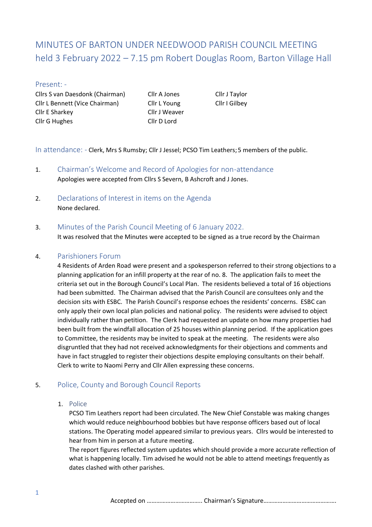# MINUTES OF BARTON UNDER NEEDWOOD PARISH COUNCIL MEETING held 3 February 2022 – 7.15 pm Robert Douglas Room, Barton Village Hall

## Present: -

Cllrs S van Daesdonk (Chairman) Cllr A Jones Cllr J Taylor Cllr L Bennett (Vice Chairman) Cllr L Young Cllr I Gilbey Cllr E Sharkey Cllr J Weaver Cllr G Hughes Cllr D Lord

In attendance: - Clerk, Mrs S Rumsby; Cllr J Jessel; PCSO Tim Leathers; 5 members of the public.

- 1. Chairman's Welcome and Record of Apologies for non-attendance Apologies were accepted from Cllrs S Severn, B Ashcroft and J Jones.
- 2. Declarations of Interest in items on the Agenda None declared.

## 3. Minutes of the Parish Council Meeting of 6 January 2022.

It was resolved that the Minutes were accepted to be signed as a true record by the Chairman

## 4. Parishioners Forum

4 Residents of Arden Road were present and a spokesperson referred to their strong objections to a planning application for an infill property at the rear of no. 8. The application fails to meet the criteria set out in the Borough Council's Local Plan. The residents believed a total of 16 objections had been submitted. The Chairman advised that the Parish Council are consultees only and the decision sits with ESBC. The Parish Council's response echoes the residents' concerns. ESBC can only apply their own local plan policies and national policy. The residents were advised to object individually rather than petition. The Clerk had requested an update on how many properties had been built from the windfall allocation of 25 houses within planning period. If the application goes to Committee, the residents may be invited to speak at the meeting. The residents were also disgruntled that they had not received acknowledgments for their objections and comments and have in fact struggled to register their objections despite employing consultants on their behalf. Clerk to write to Naomi Perry and Cllr Allen expressing these concerns.

# 5. Police, County and Borough Council Reports

1. Police

PCSO Tim Leathers report had been circulated. The New Chief Constable was making changes which would reduce neighbourhood bobbies but have response officers based out of local stations. The Operating model appeared similar to previous years. Cllrs would be interested to hear from him in person at a future meeting.

The report figures reflected system updates which should provide a more accurate reflection of what is happening locally. Tim advised he would not be able to attend meetings frequently as dates clashed with other parishes.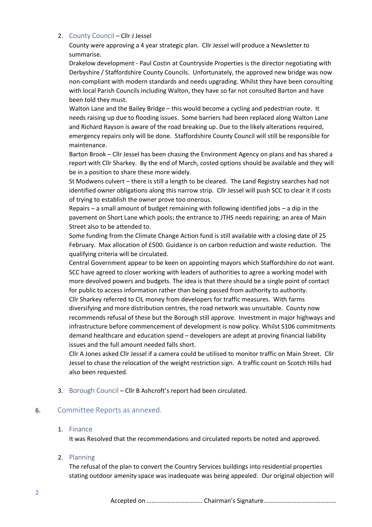### 2. County Council – Cllr J Jessel

County were approving a 4 year strategic plan. Cllr Jessel will produce a Newsletter to summarise.

Drakelow development - Paul Costin at Countryside Properties is the director negotiating with Derbyshire / Staffordshire County Councils. Unfortunately, the approved new bridge was now non-compliant with modern standards and needs upgrading. Whilst they have been consulting with local Parish Councils including Walton, they have so far not consulted Barton and have been told they must.

Walton Lane and the Bailey Bridge – this would become a cycling and pedestrian route. It needs raising up due to flooding issues. Some barriers had been replaced along Walton Lane and Richard Rayson is aware of the road breaking up. Due to the likely alterations required, emergency repairs only will be done. Staffordshire County Council will still be responsible for maintenance.

Barton Brook – Cllr Jessel has been chasing the Environment Agency on plans and has shared a report with Cllr Sharkey. By the end of March, costed options should be available and they will be in a position to share these more widely.

St Modwens culvert – there is still a length to be cleared. The Land Registry searches had not identified owner obligations along this narrow strip. Cllr Jessel will push SCC to clear it if costs of trying to establish the owner prove too onerous.

Repairs – a small amount of budget remaining with following identified jobs – a dip in the pavement on Short Lane which pools; the entrance to JTHS needs repairing; an area of Main Street also to be attended to.

Some funding from the Climate Change Action fund is still available with a closing date of 25 February. Max allocation of £500. Guidance is on carbon reduction and waste reduction. The qualifying criteria will be circulated.

Central Government appear to be keen on appointing mayors which Staffordshire do not want. SCC have agreed to closer working with leaders of authorities to agree a working model with more devolved powers and budgets. The idea is that there should be a single point of contact for public to access information rather than being passed from authority to authority.

Cllr Sharkey referred to CIL money from developers for traffic measures. With farms diversifying and more distribution centres, the road network was unsuitable. County now recommends refusal of these but the Borough still approve. Investment in major highways and infrastructure before commencement of development is now policy. Whilst S106 commitments demand healthcare and education spend – developers are adept at proving financial liability issues and the full amount needed falls short.

Cllr A Jones asked Cllr Jessel if a camera could be utilised to monitor traffic on Main Street. Cllr Jessel to chase the relocation of the weight restriction sign. A traffic count on Scotch Hills had also been requested.

3. Borough Council – Cllr B Ashcroft's report had been circulated.

## 6. Committee Reports as annexed.

# 1. Finance

It was Resolved that the recommendations and circulated reports be noted and approved.

## 2. Planning

The refusal of the plan to convert the Country Services buildings into residential properties stating outdoor amenity space was inadequate was being appealed. Our original objection will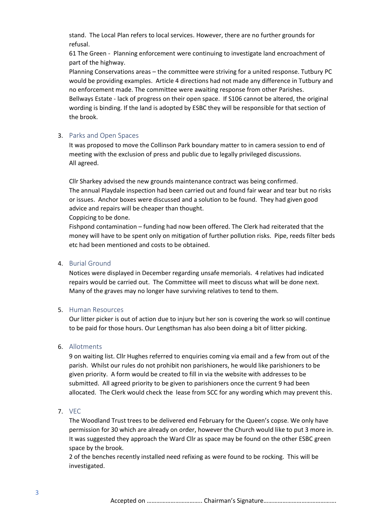stand. The Local Plan refers to local services. However, there are no further grounds for refusal.

61 The Green - Planning enforcement were continuing to investigate land encroachment of part of the highway.

Planning Conservations areas – the committee were striving for a united response. Tutbury PC would be providing examples. Article 4 directions had not made any difference in Tutbury and no enforcement made. The committee were awaiting response from other Parishes. Bellways Estate - lack of progress on their open space. If S106 cannot be altered, the original wording is binding. If the land is adopted by ESBC they will be responsible for that section of the brook.

#### 3. Parks and Open Spaces

It was proposed to move the Collinson Park boundary matter to in camera session to end of meeting with the exclusion of press and public due to legally privileged discussions. All agreed.

Cllr Sharkey advised the new grounds maintenance contract was being confirmed. The annual Playdale inspection had been carried out and found fair wear and tear but no risks or issues. Anchor boxes were discussed and a solution to be found. They had given good advice and repairs will be cheaper than thought.

#### Coppicing to be done.

Fishpond contamination – funding had now been offered. The Clerk had reiterated that the money will have to be spent only on mitigation of further pollution risks. Pipe, reeds filter beds etc had been mentioned and costs to be obtained.

#### 4. Burial Ground

Notices were displayed in December regarding unsafe memorials. 4 relatives had indicated repairs would be carried out. The Committee will meet to discuss what will be done next. Many of the graves may no longer have surviving relatives to tend to them.

#### 5. Human Resources

Our litter picker is out of action due to injury but her son is covering the work so will continue to be paid for those hours. Our Lengthsman has also been doing a bit of litter picking.

#### 6. Allotments

9 on waiting list. Cllr Hughes referred to enquiries coming via email and a few from out of the parish. Whilst our rules do not prohibit non parishioners, he would like parishioners to be given priority. A form would be created to fill in via the website with addresses to be submitted. All agreed priority to be given to parishioners once the current 9 had been allocated. The Clerk would check the lease from SCC for any wording which may prevent this.

## 7. VEC

The Woodland Trust trees to be delivered end February for the Queen's copse. We only have permission for 30 which are already on order, however the Church would like to put 3 more in. It was suggested they approach the Ward Cllr as space may be found on the other ESBC green space by the brook.

2 of the benches recently installed need refixing as were found to be rocking. This will be investigated.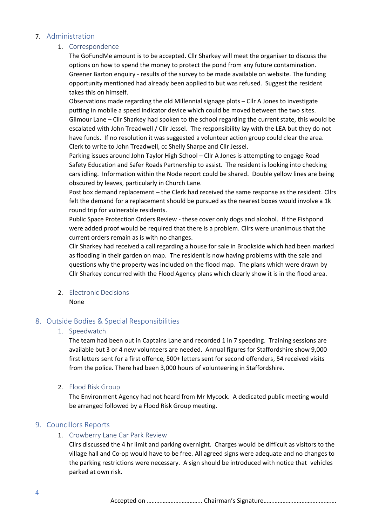## 7. Administration

## 1. Correspondence

The GoFundMe amount is to be accepted. Cllr Sharkey will meet the organiser to discuss the options on how to spend the money to protect the pond from any future contamination. Greener Barton enquiry - results of the survey to be made available on website. The funding opportunity mentioned had already been applied to but was refused. Suggest the resident takes this on himself.

Observations made regarding the old Millennial signage plots – Cllr A Jones to investigate putting in mobile a speed indicator device which could be moved between the two sites. Gilmour Lane – Cllr Sharkey had spoken to the school regarding the current state, this would be escalated with John Treadwell / Cllr Jessel. The responsibility lay with the LEA but they do not have funds. If no resolution it was suggested a volunteer action group could clear the area. Clerk to write to John Treadwell, cc Shelly Sharpe and Cllr Jessel.

Parking issues around John Taylor High School – Cllr A Jones is attempting to engage Road Safety Education and Safer Roads Partnership to assist. The resident is looking into checking cars idling. Information within the Node report could be shared. Double yellow lines are being obscured by leaves, particularly in Church Lane.

Post box demand replacement – the Clerk had received the same response as the resident. Cllrs felt the demand for a replacement should be pursued as the nearest boxes would involve a 1k round trip for vulnerable residents.

Public Space Protection Orders Review - these cover only dogs and alcohol. If the Fishpond were added proof would be required that there is a problem. Cllrs were unanimous that the current orders remain as is with no changes.

Cllr Sharkey had received a call regarding a house for sale in Brookside which had been marked as flooding in their garden on map. The resident is now having problems with the sale and questions why the property was included on the flood map. The plans which were drawn by Cllr Sharkey concurred with the Flood Agency plans which clearly show it is in the flood area.

2. Electronic Decisions None

# 8. Outside Bodies & Special Responsibilities

# 1. Speedwatch

The team had been out in Captains Lane and recorded 1 in 7 speeding. Training sessions are available but 3 or 4 new volunteers are needed. Annual figures for Staffordshire show 9,000 first letters sent for a first offence, 500+ letters sent for second offenders, 54 received visits from the police. There had been 3,000 hours of volunteering in Staffordshire.

## 2. Flood Risk Group

The Environment Agency had not heard from Mr Mycock. A dedicated public meeting would be arranged followed by a Flood Risk Group meeting.

# 9. Councillors Reports

## 1. Crowberry Lane Car Park Review

Cllrs discussed the 4 hr limit and parking overnight. Charges would be difficult as visitors to the village hall and Co-op would have to be free. All agreed signs were adequate and no changes to the parking restrictions were necessary. A sign should be introduced with notice that vehicles parked at own risk.